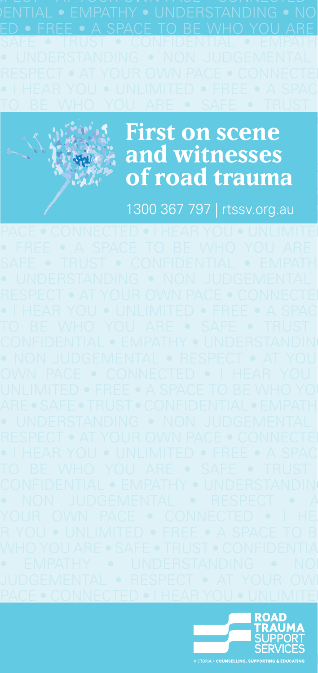



# **First on scene CONNECTED and witnesses**  $\mathbb{E}$   $\mathbb{E}$   $\mathbb{E}$   $\mathbb{E}$   $\mathbb{E}$   $\mathbb{E}$   $\mathbb{E}$   $\mathbb{E}$   $\mathbb{E}$   $\mathbb{E}$   $\mathbb{E}$   $\mathbb{E}$   $\mathbb{E}$   $\mathbb{E}$   $\mathbb{E}$   $\mathbb{E}$   $\mathbb{E}$   $\mathbb{E}$   $\mathbb{E}$   $\mathbb{E}$   $\mathbb{E}$   $\mathbb{E}$   $\mathbb{E}$   $\mathbb{E}$   $\mathbb{$ *<b>SAFE* • SAFE • SAFE • SAFE • CONFIDENTIAL • CONFIDENCE

Judgemental • Respect • At  $\sim$  1300 367 797 | rtssv.org.au  $\sim$ 

PACE • CONNECTED • I HEAR YOU • UNLIMITEI

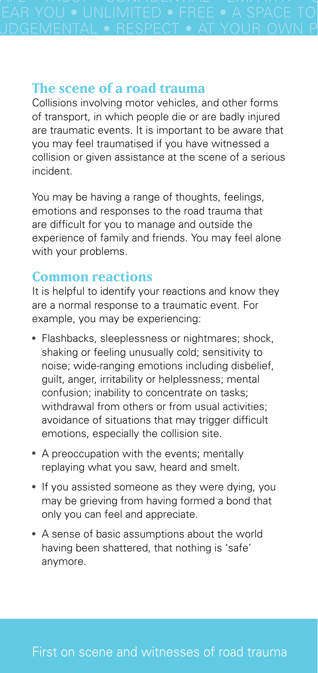JDGEMENTAL • RESPECT • AT YOUR OWN P.

## **The scene of a road trauma**

Collisions involving motor vehicles, and other forms of transport, in which people die or are badly injured are traumatic events. It is important to be aware that you may feel traumatised if you have witnessed a collision or given assistance at the scene of a serious incident.

You may be having a range of thoughts, feelings, emotions and responses to the road trauma that are difficult for you to manage and outside the experience of family and friends. You may feel alone with your problems.

#### **Common reactions**

It is helpful to identify your reactions and know they are a normal response to a traumatic event. For example, you may be experiencing:

- Flashbacks, sleeplessness or nightmares; shock, shaking or feeling unusually cold; sensitivity to noise; wide-ranging emotions including disbelief, guilt, anger, irritability or helplessness; mental confusion; inability to concentrate on tasks; withdrawal from others or from usual activities: avoidance of situations that may trigger difficult emotions, especially the collision site.
- A preoccupation with the events; mentally replaying what you saw, heard and smelt.
- If you assisted someone as they were dying, you may be grieving from having formed a bond that only you can feel and appreciate.
- A sense of basic assumptions about the world having been shattered, that nothing is 'safe' anymore.

### First on scene and witnesses of road trauma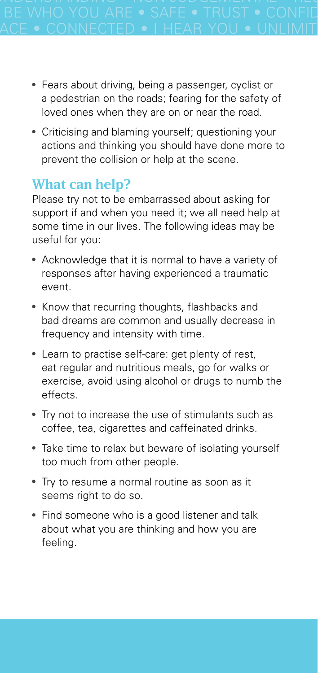- Fears about driving, being a passenger, cyclist or a pedestrian on the roads; fearing for the safety of loved ones when they are on or near the road.
- Criticising and blaming yourself; questioning your actions and thinking you should have done more to prevent the collision or help at the scene.

## **What can help?**

Please try not to be embarrassed about asking for support if and when you need it; we all need help at some time in our lives. The following ideas may be useful for you:

- Acknowledge that it is normal to have a variety of responses after having experienced a traumatic event.
- Know that recurring thoughts, flashbacks and bad dreams are common and usually decrease in frequency and intensity with time.
- Learn to practise self-care: get plenty of rest, eat regular and nutritious meals, go for walks or exercise, avoid using alcohol or drugs to numb the effects.
- Try not to increase the use of stimulants such as coffee, tea, cigarettes and caffeinated drinks.
- Take time to relax but beware of isolating yourself too much from other people.
- Try to resume a normal routine as soon as it seems right to do so.
- Find someone who is a good listener and talk about what you are thinking and how you are feeling.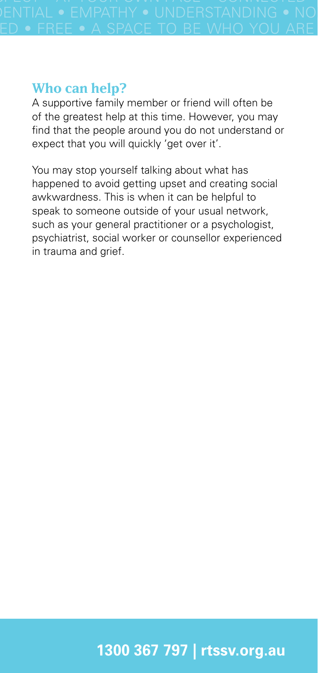$ED \bullet$  FREE  $\bullet$  A SPACE TO BE WHO YOU ARE

### **Who can help?**

A supportive family member or friend will often be of the greatest help at this time. However, you may find that the people around you do not understand or expect that you will quickly 'get over it'.

You may stop yourself talking about what has happened to avoid getting upset and creating social awkwardness. This is when it can be helpful to speak to someone outside of your usual network, such as your general practitioner or a psychologist, psychiatrist, social worker or counsellor experienced in trauma and grief.

# **1300 367 797 | rtssv.org.au**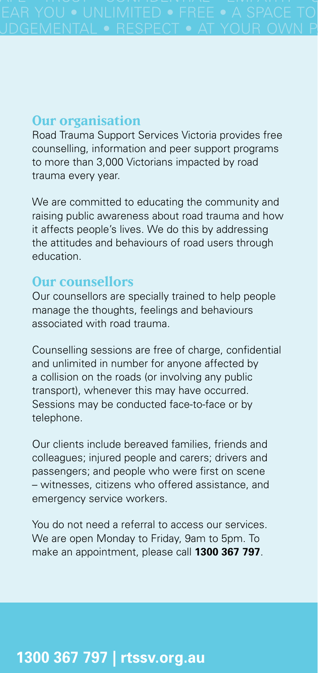#### **Our organisation**

Road Trauma Support Services Victoria provides free counselling, information and peer support programs to more than 3,000 Victorians impacted by road trauma every year.

We are committed to educating the community and raising public awareness about road trauma and how it affects people's lives. We do this by addressing the attitudes and behaviours of road users through education.

#### **Our counsellors**

Our counsellors are specially trained to help people manage the thoughts, feelings and behaviours associated with road trauma.

Counselling sessions are free of charge, confidential and unlimited in number for anyone affected by a collision on the roads (or involving any public transport), whenever this may have occurred. Sessions may be conducted face-to-face or by telephone.

Our clients include bereaved families, friends and colleagues; injured people and carers; drivers and passengers; and people who were first on scene – witnesses, citizens who offered assistance, and emergency service workers.

You do not need a referral to access our services. We are open Monday to Friday, 9am to 5pm. To make an appointment, please call **1300 367 797**.

## **1300 367 797 | rtssv.org.au**